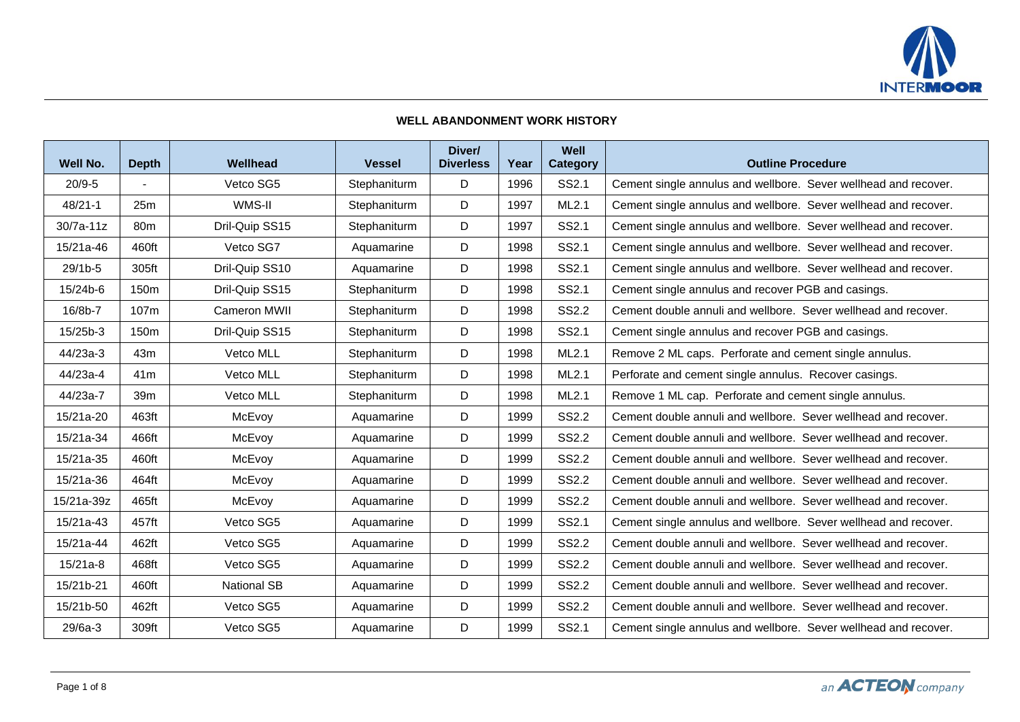

## **WELL ABANDONMENT WORK HISTORY**

| Well No.    | <b>Depth</b>     | Wellhead           | <b>Vessel</b> | Diver/<br><b>Diverless</b> | Year | Well<br><b>Category</b> | <b>Outline Procedure</b>                                        |
|-------------|------------------|--------------------|---------------|----------------------------|------|-------------------------|-----------------------------------------------------------------|
| $20/9 - 5$  |                  | Vetco SG5          | Stephaniturm  | D                          | 1996 | SS2.1                   | Cement single annulus and wellbore. Sever wellhead and recover. |
| $48/21 - 1$ | 25m              | WMS-II             | Stephaniturm  | D                          | 1997 | ML2.1                   | Cement single annulus and wellbore. Sever wellhead and recover. |
| $30/7a-11z$ | 80m              | Dril-Quip SS15     | Stephaniturm  | D                          | 1997 | SS2.1                   | Cement single annulus and wellbore. Sever wellhead and recover. |
| 15/21a-46   | 460ft            | Vetco SG7          | Aquamarine    | D                          | 1998 | SS2.1                   | Cement single annulus and wellbore. Sever wellhead and recover. |
| 29/1b-5     | 305ft            | Dril-Quip SS10     | Aquamarine    | D                          | 1998 | SS2.1                   | Cement single annulus and wellbore. Sever wellhead and recover. |
| 15/24b-6    | 150 <sub>m</sub> | Dril-Quip SS15     | Stephaniturm  | D                          | 1998 | SS2.1                   | Cement single annulus and recover PGB and casings.              |
| 16/8b-7     | 107m             | Cameron MWII       | Stephaniturm  | D                          | 1998 | <b>SS2.2</b>            | Cement double annuli and wellbore. Sever wellhead and recover.  |
| 15/25b-3    | 150 <sub>m</sub> | Dril-Quip SS15     | Stephaniturm  | D                          | 1998 | SS2.1                   | Cement single annulus and recover PGB and casings.              |
| 44/23a-3    | 43m              | Vetco MLL          | Stephaniturm  | D                          | 1998 | ML2.1                   | Remove 2 ML caps. Perforate and cement single annulus.          |
| 44/23a-4    | 41 <sub>m</sub>  | Vetco MLL          | Stephaniturm  | D                          | 1998 | ML2.1                   | Perforate and cement single annulus. Recover casings.           |
| 44/23a-7    | 39m              | Vetco MLL          | Stephaniturm  | D                          | 1998 | ML2.1                   | Remove 1 ML cap. Perforate and cement single annulus.           |
| 15/21a-20   | 463ft            | McEvoy             | Aquamarine    | D                          | 1999 | <b>SS2.2</b>            | Cement double annuli and wellbore. Sever wellhead and recover.  |
| 15/21a-34   | 466ft            | McEvoy             | Aquamarine    | D                          | 1999 | <b>SS2.2</b>            | Cement double annuli and wellbore. Sever wellhead and recover.  |
| 15/21a-35   | 460ft            | McEvoy             | Aquamarine    | D                          | 1999 | <b>SS2.2</b>            | Cement double annuli and wellbore. Sever wellhead and recover.  |
| 15/21a-36   | 464ft            | McEvoy             | Aquamarine    | D                          | 1999 | <b>SS2.2</b>            | Cement double annuli and wellbore. Sever wellhead and recover.  |
| 15/21a-39z  | 465ft            | McEvoy             | Aquamarine    | D                          | 1999 | <b>SS2.2</b>            | Cement double annuli and wellbore. Sever wellhead and recover.  |
| 15/21a-43   | 457ft            | Vetco SG5          | Aquamarine    | D                          | 1999 | SS2.1                   | Cement single annulus and wellbore. Sever wellhead and recover. |
| 15/21a-44   | 462ft            | Vetco SG5          | Aquamarine    | D                          | 1999 | SS2.2                   | Cement double annuli and wellbore. Sever wellhead and recover.  |
| $15/21a-8$  | 468ft            | Vetco SG5          | Aquamarine    | D                          | 1999 | <b>SS2.2</b>            | Cement double annuli and wellbore. Sever wellhead and recover.  |
| 15/21b-21   | 460ft            | <b>National SB</b> | Aquamarine    | D                          | 1999 | <b>SS2.2</b>            | Cement double annuli and wellbore. Sever wellhead and recover.  |
| 15/21b-50   | 462ft            | Vetco SG5          | Aquamarine    | D                          | 1999 | <b>SS2.2</b>            | Cement double annuli and wellbore. Sever wellhead and recover.  |
| 29/6a-3     | 309ft            | Vetco SG5          | Aquamarine    | D                          | 1999 | SS2.1                   | Cement single annulus and wellbore. Sever wellhead and recover. |

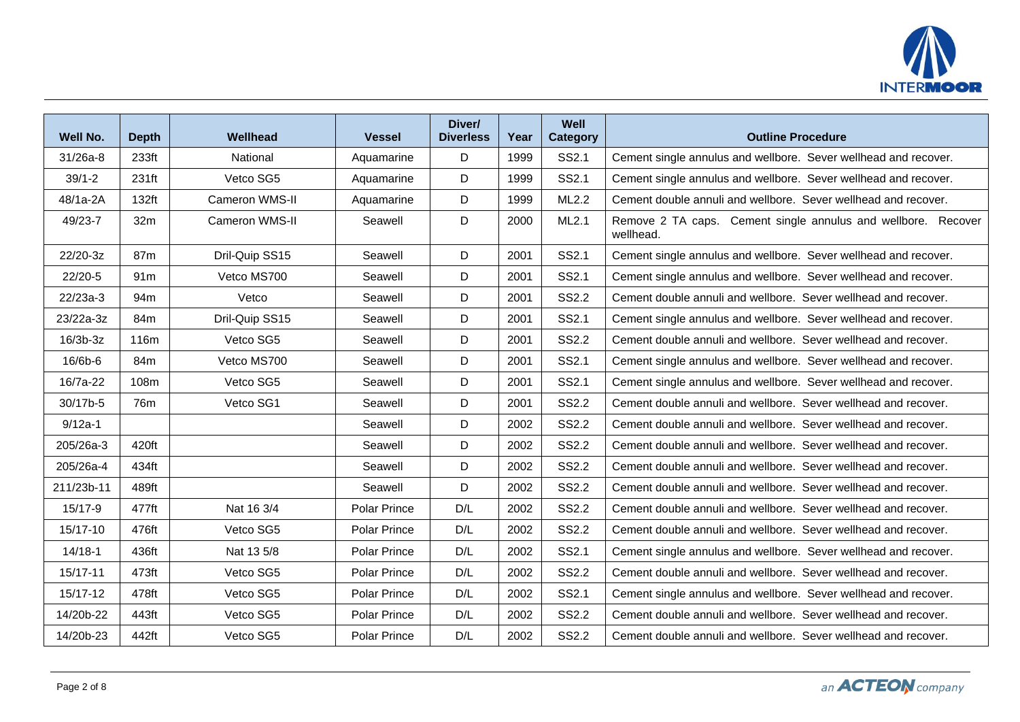

| Well No.    | <b>Depth</b>      | Wellhead              | <b>Vessel</b> | Diver/<br><b>Diverless</b> | Year | Well<br><b>Category</b> | <b>Outline Procedure</b>                                                   |
|-------------|-------------------|-----------------------|---------------|----------------------------|------|-------------------------|----------------------------------------------------------------------------|
| $31/26a-8$  | 233 <sub>ft</sub> | National              | Aquamarine    | D                          | 1999 | SS2.1                   | Cement single annulus and wellbore. Sever wellhead and recover.            |
| $39/1 - 2$  | 231ft             | Vetco SG5             | Aquamarine    | D                          | 1999 | SS2.1                   | Cement single annulus and wellbore. Sever wellhead and recover.            |
| 48/1a-2A    | 132ft             | <b>Cameron WMS-II</b> | Aquamarine    | D                          | 1999 | ML2.2                   | Cement double annuli and wellbore. Sever wellhead and recover.             |
| 49/23-7     | 32m               | Cameron WMS-II        | Seawell       | D                          | 2000 | ML2.1                   | Remove 2 TA caps. Cement single annulus and wellbore. Recover<br>wellhead. |
| 22/20-3z    | 87m               | Dril-Quip SS15        | Seawell       | D                          | 2001 | SS2.1                   | Cement single annulus and wellbore. Sever wellhead and recover.            |
| 22/20-5     | 91 <sub>m</sub>   | Vetco MS700           | Seawell       | D                          | 2001 | SS2.1                   | Cement single annulus and wellbore. Sever wellhead and recover.            |
| 22/23a-3    | 94m               | Vetco                 | Seawell       | D                          | 2001 | <b>SS2.2</b>            | Cement double annuli and wellbore. Sever wellhead and recover.             |
| 23/22a-3z   | 84m               | Dril-Quip SS15        | Seawell       | D                          | 2001 | SS2.1                   | Cement single annulus and wellbore. Sever wellhead and recover.            |
| $16/3b-3z$  | 116m              | Vetco SG5             | Seawell       | D                          | 2001 | <b>SS2.2</b>            | Cement double annuli and wellbore. Sever wellhead and recover.             |
| 16/6b-6     | 84m               | Vetco MS700           | Seawell       | D                          | 2001 | SS2.1                   | Cement single annulus and wellbore. Sever wellhead and recover.            |
| 16/7a-22    | 108m              | Vetco SG5             | Seawell       | D                          | 2001 | <b>SS2.1</b>            | Cement single annulus and wellbore. Sever wellhead and recover.            |
| 30/17b-5    | 76m               | Vetco SG1             | Seawell       | D                          | 2001 | SS2.2                   | Cement double annuli and wellbore. Sever wellhead and recover.             |
| $9/12a-1$   |                   |                       | Seawell       | D                          | 2002 | SS2.2                   | Cement double annuli and wellbore. Sever wellhead and recover.             |
| 205/26a-3   | 420ft             |                       | Seawell       | D                          | 2002 | SS2.2                   | Cement double annuli and wellbore. Sever wellhead and recover.             |
| 205/26a-4   | 434ft             |                       | Seawell       | D                          | 2002 | <b>SS2.2</b>            | Cement double annuli and wellbore. Sever wellhead and recover.             |
| 211/23b-11  | 489ft             |                       | Seawell       | D                          | 2002 | <b>SS2.2</b>            | Cement double annuli and wellbore. Sever wellhead and recover.             |
| 15/17-9     | 477ft             | Nat 16 3/4            | Polar Prince  | D/L                        | 2002 | <b>SS2.2</b>            | Cement double annuli and wellbore. Sever wellhead and recover.             |
| 15/17-10    | 476ft             | Vetco SG5             | Polar Prince  | D/L                        | 2002 | SS2.2                   | Cement double annuli and wellbore. Sever wellhead and recover.             |
| $14/18 - 1$ | 436ft             | Nat 13 5/8            | Polar Prince  | D/L                        | 2002 | SS2.1                   | Cement single annulus and wellbore. Sever wellhead and recover.            |
| 15/17-11    | 473ft             | Vetco SG5             | Polar Prince  | D/L                        | 2002 | <b>SS2.2</b>            | Cement double annuli and wellbore. Sever wellhead and recover.             |
| 15/17-12    | 478ft             | Vetco SG5             | Polar Prince  | D/L                        | 2002 | SS2.1                   | Cement single annulus and wellbore. Sever wellhead and recover.            |
| 14/20b-22   | 443ft             | Vetco SG5             | Polar Prince  | D/L                        | 2002 | SS2.2                   | Cement double annuli and wellbore. Sever wellhead and recover.             |
| 14/20b-23   | 442ft             | Vetco SG5             | Polar Prince  | D/L                        | 2002 | <b>SS2.2</b>            | Cement double annuli and wellbore. Sever wellhead and recover.             |

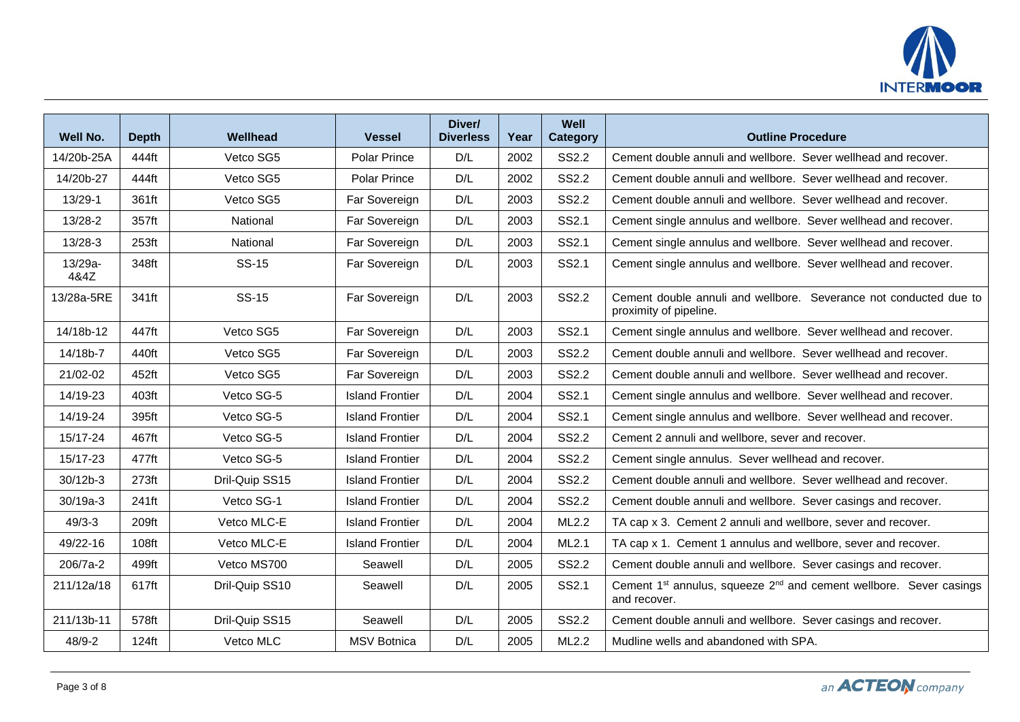

| Well No.        | <b>Depth</b> | Wellhead       | <b>Vessel</b>          | Diver/<br><b>Diverless</b> | Year | Well<br><b>Category</b> | <b>Outline Procedure</b>                                                                                   |
|-----------------|--------------|----------------|------------------------|----------------------------|------|-------------------------|------------------------------------------------------------------------------------------------------------|
| 14/20b-25A      | 444ft        | Vetco SG5      | <b>Polar Prince</b>    | D/L                        | 2002 | <b>SS2.2</b>            | Cement double annuli and wellbore. Sever wellhead and recover.                                             |
| 14/20b-27       | 444ft        | Vetco SG5      | <b>Polar Prince</b>    | D/L                        | 2002 | <b>SS2.2</b>            | Cement double annuli and wellbore. Sever wellhead and recover.                                             |
| 13/29-1         | 361ft        | Vetco SG5      | Far Sovereign          | D/L                        | 2003 | <b>SS2.2</b>            | Cement double annuli and wellbore. Sever wellhead and recover.                                             |
| 13/28-2         | 357ft        | National       | Far Sovereign          | D/L                        | 2003 | SS2.1                   | Cement single annulus and wellbore. Sever wellhead and recover.                                            |
| 13/28-3         | 253ft        | National       | Far Sovereign          | D/L                        | 2003 | SS2.1                   | Cement single annulus and wellbore. Sever wellhead and recover.                                            |
| 13/29a-<br>4&4Z | 348ft        | <b>SS-15</b>   | Far Sovereign          | D/L                        | 2003 | SS2.1                   | Cement single annulus and wellbore. Sever wellhead and recover.                                            |
| 13/28a-5RE      | 341ft        | <b>SS-15</b>   | Far Sovereign          | D/L                        | 2003 | <b>SS2.2</b>            | Cement double annuli and wellbore. Severance not conducted due to<br>proximity of pipeline.                |
| 14/18b-12       | 447ft        | Vetco SG5      | Far Sovereign          | D/L                        | 2003 | SS2.1                   | Cement single annulus and wellbore. Sever wellhead and recover.                                            |
| 14/18b-7        | 440ft        | Vetco SG5      | Far Sovereign          | D/L                        | 2003 | <b>SS2.2</b>            | Cement double annuli and wellbore. Sever wellhead and recover.                                             |
| 21/02-02        | 452ft        | Vetco SG5      | Far Sovereign          | D/L                        | 2003 | <b>SS2.2</b>            | Cement double annuli and wellbore. Sever wellhead and recover.                                             |
| 14/19-23        | 403ft        | Vetco SG-5     | <b>Island Frontier</b> | D/L                        | 2004 | SS2.1                   | Cement single annulus and wellbore. Sever wellhead and recover.                                            |
| 14/19-24        | 395ft        | Vetco SG-5     | <b>Island Frontier</b> | D/L                        | 2004 | SS2.1                   | Cement single annulus and wellbore. Sever wellhead and recover.                                            |
| 15/17-24        | 467ft        | Vetco SG-5     | <b>Island Frontier</b> | D/L                        | 2004 | <b>SS2.2</b>            | Cement 2 annuli and wellbore, sever and recover.                                                           |
| 15/17-23        | 477ft        | Vetco SG-5     | <b>Island Frontier</b> | D/L                        | 2004 | <b>SS2.2</b>            | Cement single annulus. Sever wellhead and recover.                                                         |
| 30/12b-3        | 273ft        | Dril-Quip SS15 | <b>Island Frontier</b> | D/L                        | 2004 | <b>SS2.2</b>            | Cement double annuli and wellbore. Sever wellhead and recover.                                             |
| 30/19a-3        | 241ft        | Vetco SG-1     | <b>Island Frontier</b> | D/L                        | 2004 | <b>SS2.2</b>            | Cement double annuli and wellbore. Sever casings and recover.                                              |
| $49/3 - 3$      | 209ft        | Vetco MLC-E    | <b>Island Frontier</b> | D/L                        | 2004 | ML2.2                   | TA cap x 3. Cement 2 annuli and wellbore, sever and recover.                                               |
| 49/22-16        | 108ft        | Vetco MLC-E    | <b>Island Frontier</b> | D/L                        | 2004 | ML2.1                   | TA cap x 1. Cement 1 annulus and wellbore, sever and recover.                                              |
| 206/7a-2        | 499ft        | Vetco MS700    | Seawell                | D/L                        | 2005 | SS2.2                   | Cement double annuli and wellbore. Sever casings and recover.                                              |
| 211/12a/18      | 617ft        | Dril-Quip SS10 | Seawell                | D/L                        | 2005 | SS2.1                   | Cement 1 <sup>st</sup> annulus, squeeze 2 <sup>nd</sup> and cement wellbore. Sever casings<br>and recover. |
| 211/13b-11      | 578ft        | Dril-Quip SS15 | Seawell                | D/L                        | 2005 | <b>SS2.2</b>            | Cement double annuli and wellbore. Sever casings and recover.                                              |
| 48/9-2          | 124ft        | Vetco MLC      | <b>MSV Botnica</b>     | D/L                        | 2005 | ML2.2                   | Mudline wells and abandoned with SPA.                                                                      |

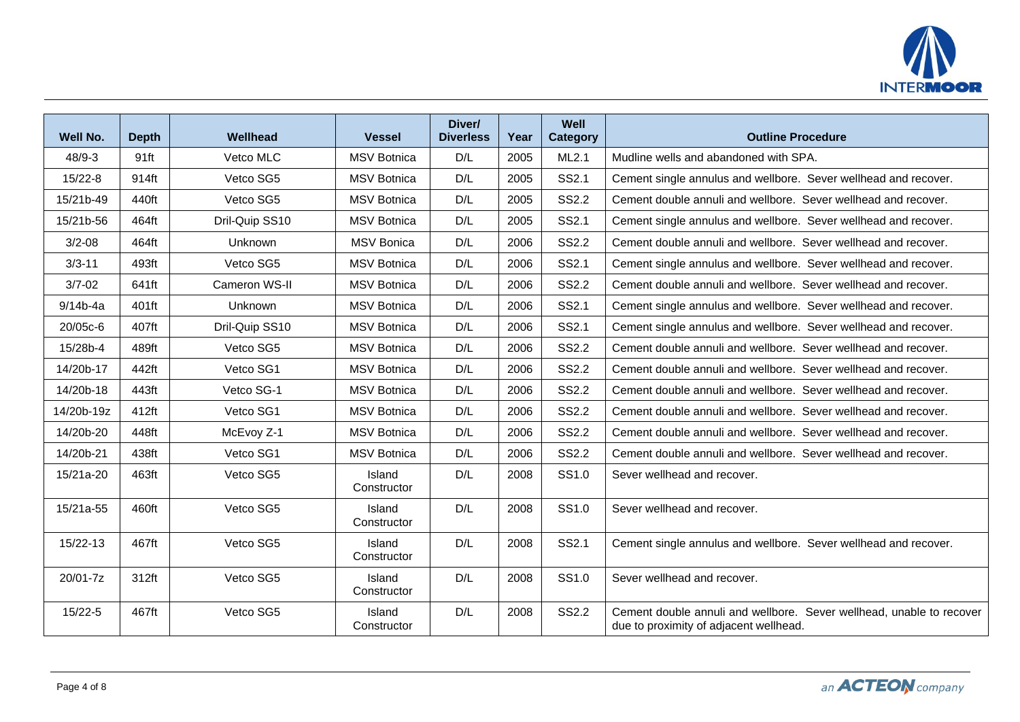

| <b>Well No.</b> | <b>Depth</b> | Wellhead       | <b>Vessel</b>         | Diver/<br><b>Diverless</b> | Year | Well<br><b>Category</b> | <b>Outline Procedure</b>                                                                                       |
|-----------------|--------------|----------------|-----------------------|----------------------------|------|-------------------------|----------------------------------------------------------------------------------------------------------------|
| $48/9 - 3$      | 91ft         | Vetco MLC      | <b>MSV</b> Botnica    | D/L                        | 2005 | ML2.1                   | Mudline wells and abandoned with SPA.                                                                          |
| $15/22 - 8$     | 914ft        | Vetco SG5      | <b>MSV Botnica</b>    | D/L                        | 2005 | SS2.1                   | Cement single annulus and wellbore. Sever wellhead and recover.                                                |
| 15/21b-49       | 440ft        | Vetco SG5      | <b>MSV Botnica</b>    | D/L                        | 2005 | <b>SS2.2</b>            | Cement double annuli and wellbore. Sever wellhead and recover.                                                 |
| 15/21b-56       | 464ft        | Dril-Quip SS10 | <b>MSV Botnica</b>    | D/L                        | 2005 | SS2.1                   | Cement single annulus and wellbore. Sever wellhead and recover.                                                |
| $3/2 - 08$      | 464ft        | Unknown        | <b>MSV Bonica</b>     | D/L                        | 2006 | <b>SS2.2</b>            | Cement double annuli and wellbore. Sever wellhead and recover.                                                 |
| $3/3 - 11$      | 493ft        | Vetco SG5      | <b>MSV Botnica</b>    | D/L                        | 2006 | SS2.1                   | Cement single annulus and wellbore. Sever wellhead and recover.                                                |
| $3/7 - 02$      | 641ft        | Cameron WS-II  | <b>MSV Botnica</b>    | D/L                        | 2006 | <b>SS2.2</b>            | Cement double annuli and wellbore. Sever wellhead and recover.                                                 |
| 9/14b-4a        | 401ft        | Unknown        | <b>MSV Botnica</b>    | D/L                        | 2006 | SS2.1                   | Cement single annulus and wellbore. Sever wellhead and recover.                                                |
| 20/05c-6        | 407ft        | Dril-Quip SS10 | <b>MSV Botnica</b>    | D/L                        | 2006 | SS2.1                   | Cement single annulus and wellbore. Sever wellhead and recover.                                                |
| 15/28b-4        | 489ft        | Vetco SG5      | <b>MSV Botnica</b>    | D/L                        | 2006 | <b>SS2.2</b>            | Cement double annuli and wellbore. Sever wellhead and recover.                                                 |
| 14/20b-17       | 442ft        | Vetco SG1      | <b>MSV Botnica</b>    | D/L                        | 2006 | <b>SS2.2</b>            | Cement double annuli and wellbore. Sever wellhead and recover.                                                 |
| 14/20b-18       | 443ft        | Vetco SG-1     | <b>MSV Botnica</b>    | D/L                        | 2006 | <b>SS2.2</b>            | Cement double annuli and wellbore. Sever wellhead and recover.                                                 |
| 14/20b-19z      | 412ft        | Vetco SG1      | <b>MSV Botnica</b>    | D/L                        | 2006 | <b>SS2.2</b>            | Cement double annuli and wellbore. Sever wellhead and recover.                                                 |
| 14/20b-20       | 448ft        | McEvoy Z-1     | <b>MSV Botnica</b>    | D/L                        | 2006 | <b>SS2.2</b>            | Cement double annuli and wellbore. Sever wellhead and recover.                                                 |
| 14/20b-21       | 438ft        | Vetco SG1      | <b>MSV Botnica</b>    | D/L                        | 2006 | <b>SS2.2</b>            | Cement double annuli and wellbore. Sever wellhead and recover.                                                 |
| 15/21a-20       | 463ft        | Vetco SG5      | Island<br>Constructor | D/L                        | 2008 | SS1.0                   | Sever wellhead and recover.                                                                                    |
| 15/21a-55       | 460ft        | Vetco SG5      | Island<br>Constructor | D/L                        | 2008 | SS <sub>1.0</sub>       | Sever wellhead and recover.                                                                                    |
| 15/22-13        | 467ft        | Vetco SG5      | Island<br>Constructor | D/L                        | 2008 | SS2.1                   | Cement single annulus and wellbore. Sever wellhead and recover.                                                |
| 20/01-7z        | 312ft        | Vetco SG5      | Island<br>Constructor | D/L                        | 2008 | SS1.0                   | Sever wellhead and recover.                                                                                    |
| $15/22 - 5$     | 467ft        | Vetco SG5      | Island<br>Constructor | D/L                        | 2008 | <b>SS2.2</b>            | Cement double annuli and wellbore. Sever wellhead, unable to recover<br>due to proximity of adjacent wellhead. |

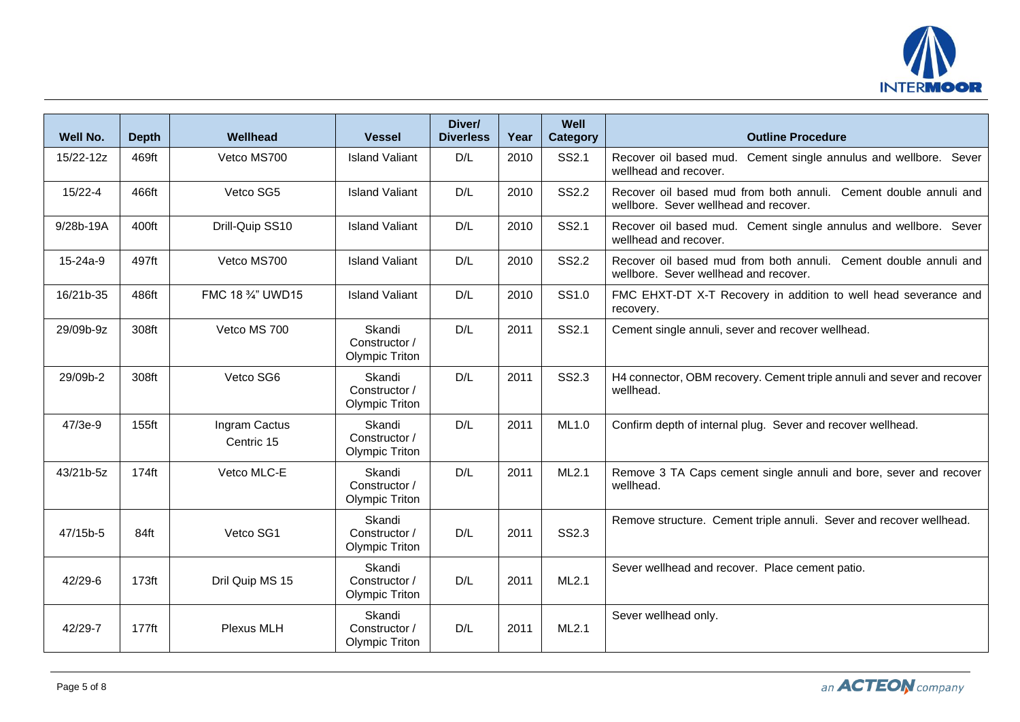

| Well No.       | <b>Depth</b>      | Wellhead                    | <b>Vessel</b>                                    | Diver/<br><b>Diverless</b> | Year | Well<br><b>Category</b> | <b>Outline Procedure</b>                                                                                  |
|----------------|-------------------|-----------------------------|--------------------------------------------------|----------------------------|------|-------------------------|-----------------------------------------------------------------------------------------------------------|
| 15/22-12z      | 469ft             | Vetco MS700                 | <b>Island Valiant</b>                            | D/L                        | 2010 | SS2.1                   | Recover oil based mud.<br>Cement single annulus and wellbore. Sever<br>wellhead and recover.              |
| $15/22 - 4$    | 466ft             | Vetco SG5                   | <b>Island Valiant</b>                            | D/L                        | 2010 | <b>SS2.2</b>            | Recover oil based mud from both annuli. Cement double annuli and<br>wellbore. Sever wellhead and recover. |
| 9/28b-19A      | 400ft             | Drill-Quip SS10             | <b>Island Valiant</b>                            | D/L                        | 2010 | SS2.1                   | Recover oil based mud. Cement single annulus and wellbore. Sever<br>wellhead and recover.                 |
| $15 - 24a - 9$ | 497ft             | Vetco MS700                 | <b>Island Valiant</b>                            | D/L                        | 2010 | <b>SS2.2</b>            | Recover oil based mud from both annuli. Cement double annuli and<br>wellbore. Sever wellhead and recover. |
| 16/21b-35      | 486ft             | FMC 18 3/4" UWD15           | <b>Island Valiant</b>                            | D/L                        | 2010 | SS1.0                   | FMC EHXT-DT X-T Recovery in addition to well head severance and<br>recovery.                              |
| 29/09b-9z      | 308ft             | Vetco MS 700                | Skandi<br>Constructor /<br><b>Olympic Triton</b> | D/L                        | 2011 | SS2.1                   | Cement single annuli, sever and recover wellhead.                                                         |
| 29/09b-2       | 308ft             | Vetco SG6                   | Skandi<br>Constructor /<br><b>Olympic Triton</b> | D/L                        | 2011 | SS2.3                   | H4 connector, OBM recovery. Cement triple annuli and sever and recover<br>wellhead.                       |
| 47/3e-9        | 155ft             | Ingram Cactus<br>Centric 15 | Skandi<br>Constructor /<br><b>Olympic Triton</b> | D/L                        | 2011 | ML1.0                   | Confirm depth of internal plug. Sever and recover wellhead.                                               |
| 43/21b-5z      | 174ft             | Vetco MLC-E                 | Skandi<br>Constructor /<br><b>Olympic Triton</b> | D/L                        | 2011 | ML2.1                   | Remove 3 TA Caps cement single annuli and bore, sever and recover<br>wellhead.                            |
| 47/15b-5       | 84ft              | Vetco SG1                   | Skandi<br>Constructor /<br><b>Olympic Triton</b> | D/L                        | 2011 | SS2.3                   | Remove structure. Cement triple annuli. Sever and recover wellhead.                                       |
| $42/29 - 6$    | 173 <sub>ft</sub> | Dril Quip MS 15             | Skandi<br>Constructor /<br><b>Olympic Triton</b> | D/L                        | 2011 | ML2.1                   | Sever wellhead and recover. Place cement patio.                                                           |
| 42/29-7        | $177$ ft          | Plexus MLH                  | Skandi<br>Constructor /<br><b>Olympic Triton</b> | D/L                        | 2011 | ML2.1                   | Sever wellhead only.                                                                                      |

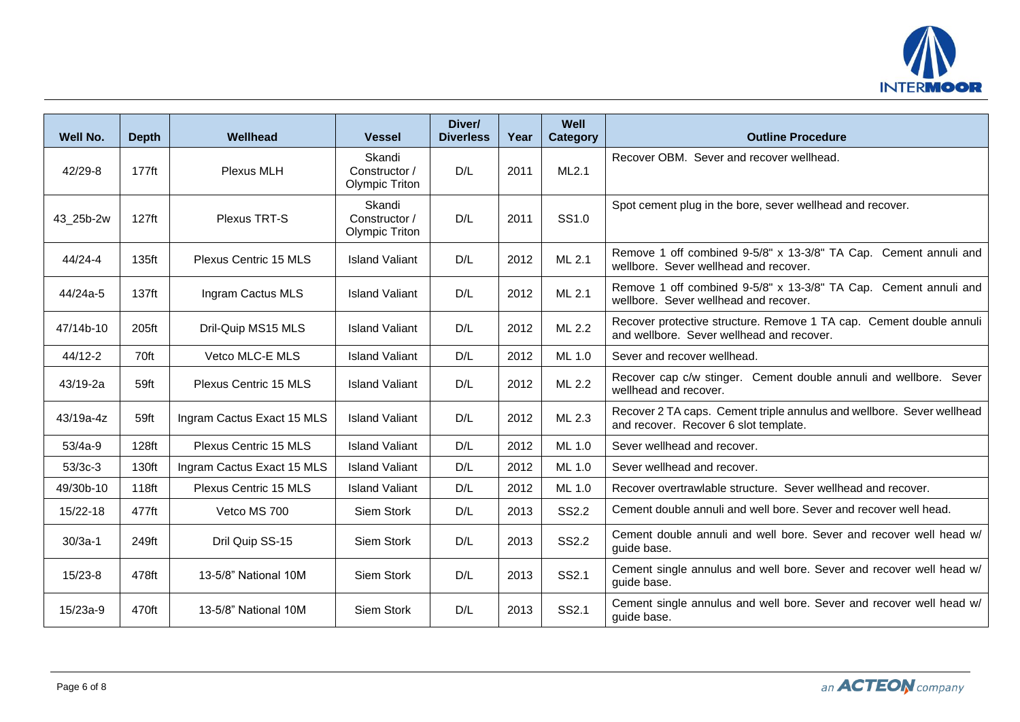

| Well No.    | <b>Depth</b>      | Wellhead                     | <b>Vessel</b>                                    | Diver/<br><b>Diverless</b> | Year | Well<br>Category | <b>Outline Procedure</b>                                                                                         |
|-------------|-------------------|------------------------------|--------------------------------------------------|----------------------------|------|------------------|------------------------------------------------------------------------------------------------------------------|
| $42/29 - 8$ | $177$ ft          | <b>Plexus MLH</b>            | Skandi<br>Constructor /<br><b>Olympic Triton</b> | D/L                        | 2011 | ML2.1            | Recover OBM. Sever and recover wellhead.                                                                         |
| 43_25b-2w   | 127 <sub>ft</sub> | Plexus TRT-S                 | Skandi<br>Constructor /<br><b>Olympic Triton</b> | D/L                        | 2011 | SS1.0            | Spot cement plug in the bore, sever wellhead and recover.                                                        |
| $44/24 - 4$ | 135ft             | Plexus Centric 15 MLS        | <b>Island Valiant</b>                            | D/L                        | 2012 | ML 2.1           | Remove 1 off combined 9-5/8" x 13-3/8" TA Cap. Cement annuli and<br>wellbore. Sever wellhead and recover.        |
| 44/24a-5    | 137ft             | Ingram Cactus MLS            | <b>Island Valiant</b>                            | D/L                        | 2012 | ML 2.1           | Remove 1 off combined 9-5/8" x 13-3/8" TA Cap. Cement annuli and<br>wellbore. Sever wellhead and recover.        |
| 47/14b-10   | 205ft             | Dril-Quip MS15 MLS           | <b>Island Valiant</b>                            | D/L                        | 2012 | ML 2.2           | Recover protective structure. Remove 1 TA cap. Cement double annuli<br>and wellbore. Sever wellhead and recover. |
| 44/12-2     | 70ft              | Vetco MLC-E MLS              | <b>Island Valiant</b>                            | D/L                        | 2012 | ML 1.0           | Sever and recover wellhead.                                                                                      |
| 43/19-2a    | 59ft              | Plexus Centric 15 MLS        | <b>Island Valiant</b>                            | D/L                        | 2012 | ML 2.2           | Recover cap c/w stinger. Cement double annuli and wellbore. Sever<br>wellhead and recover.                       |
| 43/19a-4z   | 59ft              | Ingram Cactus Exact 15 MLS   | <b>Island Valiant</b>                            | D/L                        | 2012 | ML 2.3           | Recover 2 TA caps. Cement triple annulus and wellbore. Sever wellhead<br>and recover. Recover 6 slot template.   |
| $53/4a-9$   | 128ft             | Plexus Centric 15 MLS        | <b>Island Valiant</b>                            | D/L                        | 2012 | ML 1.0           | Sever wellhead and recover.                                                                                      |
| $53/3c-3$   | 130ft             | Ingram Cactus Exact 15 MLS   | <b>Island Valiant</b>                            | D/L                        | 2012 | ML 1.0           | Sever wellhead and recover.                                                                                      |
| 49/30b-10   | 118ft             | <b>Plexus Centric 15 MLS</b> | <b>Island Valiant</b>                            | D/L                        | 2012 | ML 1.0           | Recover overtrawlable structure. Sever wellhead and recover.                                                     |
| 15/22-18    | 477ft             | Vetco MS 700                 | Siem Stork                                       | D/L                        | 2013 | <b>SS2.2</b>     | Cement double annuli and well bore. Sever and recover well head.                                                 |
| $30/3a-1$   | 249ft             | Dril Quip SS-15              | Siem Stork                                       | D/L                        | 2013 | <b>SS2.2</b>     | Cement double annuli and well bore. Sever and recover well head w/<br>guide base.                                |
| $15/23-8$   | 478ft             | 13-5/8" National 10M         | Siem Stork                                       | D/L                        | 2013 | SS2.1            | Cement single annulus and well bore. Sever and recover well head w/<br>guide base.                               |
| 15/23a-9    | 470ft             | 13-5/8" National 10M         | Siem Stork                                       | D/L                        | 2013 | <b>SS2.1</b>     | Cement single annulus and well bore. Sever and recover well head w/<br>guide base.                               |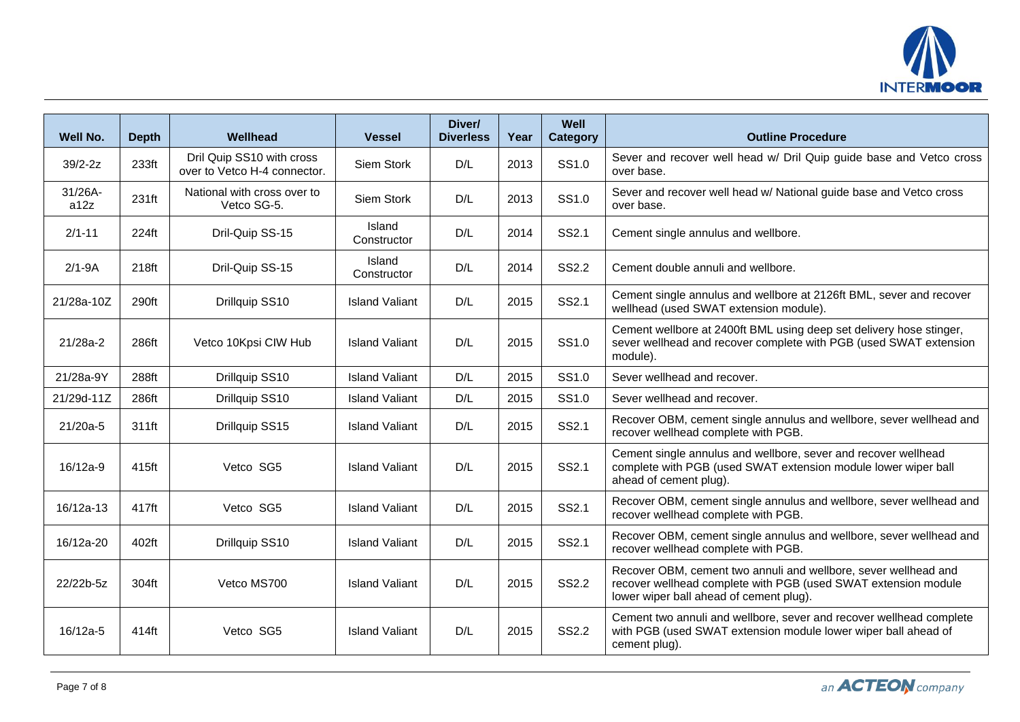

| <b>Well No.</b> | <b>Depth</b> | Wellhead                                                  | <b>Vessel</b>         | Diver/<br><b>Diverless</b> | Year | Well<br><b>Category</b> | <b>Outline Procedure</b>                                                                                                                                                     |
|-----------------|--------------|-----------------------------------------------------------|-----------------------|----------------------------|------|-------------------------|------------------------------------------------------------------------------------------------------------------------------------------------------------------------------|
| $39/2-2z$       | 233ft        | Dril Quip SS10 with cross<br>over to Vetco H-4 connector. | Siem Stork            | D/L                        | 2013 | SS1.0                   | Sever and recover well head w/ Dril Quip guide base and Vetco cross<br>over base.                                                                                            |
| 31/26A-<br>a12z | 231ft        | National with cross over to<br>Vetco SG-5.                | Siem Stork            | D/L                        | 2013 | SS1.0                   | Sever and recover well head w/ National guide base and Vetco cross<br>over base.                                                                                             |
| $2/1 - 11$      | 224ft        | Dril-Quip SS-15                                           | Island<br>Constructor | D/L                        | 2014 | SS2.1                   | Cement single annulus and wellbore.                                                                                                                                          |
| $2/1-9A$        | 218ft        | Dril-Quip SS-15                                           | Island<br>Constructor | D/L                        | 2014 | <b>SS2.2</b>            | Cement double annuli and wellbore.                                                                                                                                           |
| 21/28a-10Z      | 290ft        | Drillquip SS10                                            | <b>Island Valiant</b> | D/L                        | 2015 | SS2.1                   | Cement single annulus and wellbore at 2126ft BML, sever and recover<br>wellhead (used SWAT extension module).                                                                |
| 21/28a-2        | 286ft        | Vetco 10Kpsi CIW Hub                                      | <b>Island Valiant</b> | D/L                        | 2015 | SS1.0                   | Cement wellbore at 2400ft BML using deep set delivery hose stinger,<br>sever wellhead and recover complete with PGB (used SWAT extension<br>module).                         |
| 21/28a-9Y       | 288ft        | Drillquip SS10                                            | <b>Island Valiant</b> | D/L                        | 2015 | SS <sub>1.0</sub>       | Sever wellhead and recover.                                                                                                                                                  |
| 21/29d-11Z      | 286ft        | Drillquip SS10                                            | <b>Island Valiant</b> | D/L                        | 2015 | SS1.0                   | Sever wellhead and recover.                                                                                                                                                  |
| 21/20a-5        | 311ft        | Drillquip SS15                                            | <b>Island Valiant</b> | D/L                        | 2015 | SS2.1                   | Recover OBM, cement single annulus and wellbore, sever wellhead and<br>recover wellhead complete with PGB.                                                                   |
| 16/12a-9        | 415ft        | Vetco SG5                                                 | <b>Island Valiant</b> | D/L                        | 2015 | SS2.1                   | Cement single annulus and wellbore, sever and recover wellhead<br>complete with PGB (used SWAT extension module lower wiper ball<br>ahead of cement plug).                   |
| 16/12a-13       | 417ft        | Vetco SG5                                                 | <b>Island Valiant</b> | D/L                        | 2015 | SS2.1                   | Recover OBM, cement single annulus and wellbore, sever wellhead and<br>recover wellhead complete with PGB.                                                                   |
| 16/12a-20       | 402ft        | Drillquip SS10                                            | <b>Island Valiant</b> | D/L                        | 2015 | SS2.1                   | Recover OBM, cement single annulus and wellbore, sever wellhead and<br>recover wellhead complete with PGB.                                                                   |
| 22/22b-5z       | 304ft        | Vetco MS700                                               | <b>Island Valiant</b> | D/L                        | 2015 | <b>SS2.2</b>            | Recover OBM, cement two annuli and wellbore, sever wellhead and<br>recover wellhead complete with PGB (used SWAT extension module<br>lower wiper ball ahead of cement plug). |
| 16/12a-5        | 414ft        | Vetco SG5                                                 | <b>Island Valiant</b> | D/L                        | 2015 | <b>SS2.2</b>            | Cement two annuli and wellbore, sever and recover wellhead complete<br>with PGB (used SWAT extension module lower wiper ball ahead of<br>cement plug).                       |